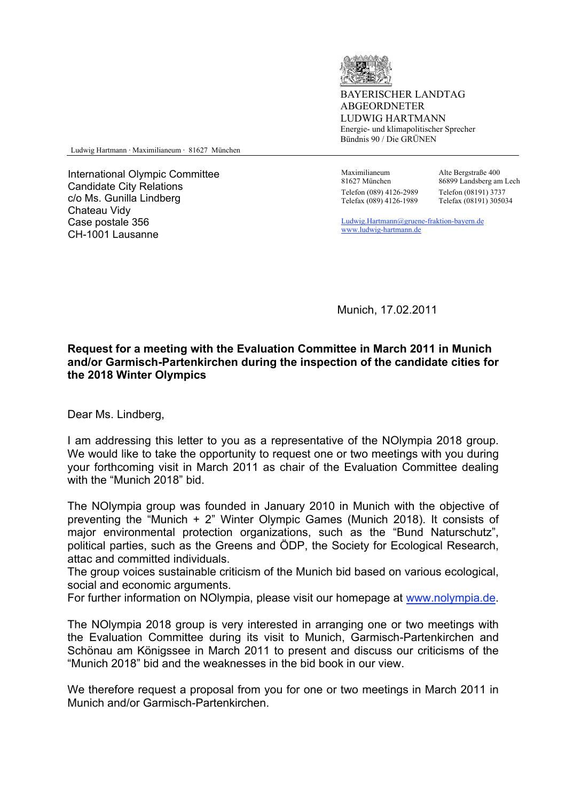

BAYERISCHER LANDTAG ABGEORDNETER LUDWIG HARTMANN Energie- und klimapolitischer Sprecher Bündnis 90 / Die GRÜNEN

Ludwig Hartmann ⋅ Maximilianeum ⋅ 81627 München

International Olympic Committee Candidate City Relations c/o Ms. Gunilla Lindberg Chateau Vidy Case postale 356 CH-1001 Lausanne

 Maximilianeum 81627 München Telefon (089) 4126-2989 Telefax (089) 4126-1989

Alte Bergstraße 400 86899 Landsberg am Lech Telefon (08191) 3737 Telefax (08191) 305034

 Ludwig.Hartmann@gruene-fraktion-bayern.de www.ludwig-hartmann.de

Munich, 17.02.2011

## **Request for a meeting with the Evaluation Committee in March 2011 in Munich and/or Garmisch-Partenkirchen during the inspection of the candidate cities for the 2018 Winter Olympics**

Dear Ms. Lindberg,

I am addressing this letter to you as a representative of the NOlympia 2018 group. We would like to take the opportunity to request one or two meetings with you during your forthcoming visit in March 2011 as chair of the Evaluation Committee dealing with the "Munich 2018" bid.

The NOlympia group was founded in January 2010 in Munich with the objective of preventing the "Munich + 2" Winter Olympic Games (Munich 2018). It consists of major environmental protection organizations, such as the "Bund Naturschutz", political parties, such as the Greens and ÖDP, the Society for Ecological Research, attac and committed individuals.

The group voices sustainable criticism of the Munich bid based on various ecological, social and economic arguments.

For further information on NOlympia, please visit our homepage at www.nolympia.de.

The NOlympia 2018 group is very interested in arranging one or two meetings with the Evaluation Committee during its visit to Munich, Garmisch-Partenkirchen and Schönau am Königssee in March 2011 to present and discuss our criticisms of the "Munich 2018" bid and the weaknesses in the bid book in our view.

We therefore request a proposal from you for one or two meetings in March 2011 in Munich and/or Garmisch-Partenkirchen.